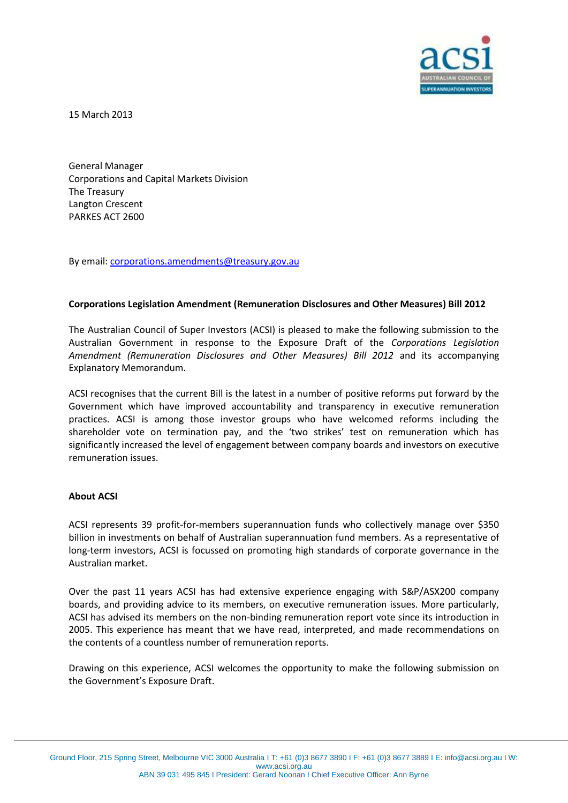

15 March 2013

General Manager Corporations and Capital Markets Division The Treasury Langton Crescent PARKES ACT 2600

By email: [corporations.amendments@treasury.gov.au](mailto:corporations.amendments@treasury.gov.au)

## **Corporations Legislation Amendment (Remuneration Disclosures and Other Measures) Bill 2012**

The Australian Council of Super Investors (ACSI) is pleased to make the following submission to the Australian Government in response to the Exposure Draft of the *Corporations Legislation Amendment (Remuneration Disclosures and Other Measures) Bill 2012* and its accompanying Explanatory Memorandum.

ACSI recognises that the current Bill is the latest in a number of positive reforms put forward by the Government which have improved accountability and transparency in executive remuneration practices. ACSI is among those investor groups who have welcomed reforms including the shareholder vote on termination pay, and the 'two strikes' test on remuneration which has significantly increased the level of engagement between company boards and investors on executive remuneration issues.

## **About ACSI**

ACSI represents 39 profit-for-members superannuation funds who collectively manage over \$350 billion in investments on behalf of Australian superannuation fund members. As a representative of long-term investors, ACSI is focussed on promoting high standards of corporate governance in the Australian market.

Over the past 11 years ACSI has had extensive experience engaging with S&P/ASX200 company boards, and providing advice to its members, on executive remuneration issues. More particularly, ACSI has advised its members on the non-binding remuneration report vote since its introduction in 2005. This experience has meant that we have read, interpreted, and made recommendations on the contents of a countless number of remuneration reports.

Drawing on this experience, ACSI welcomes the opportunity to make the following submission on the Government's Exposure Draft.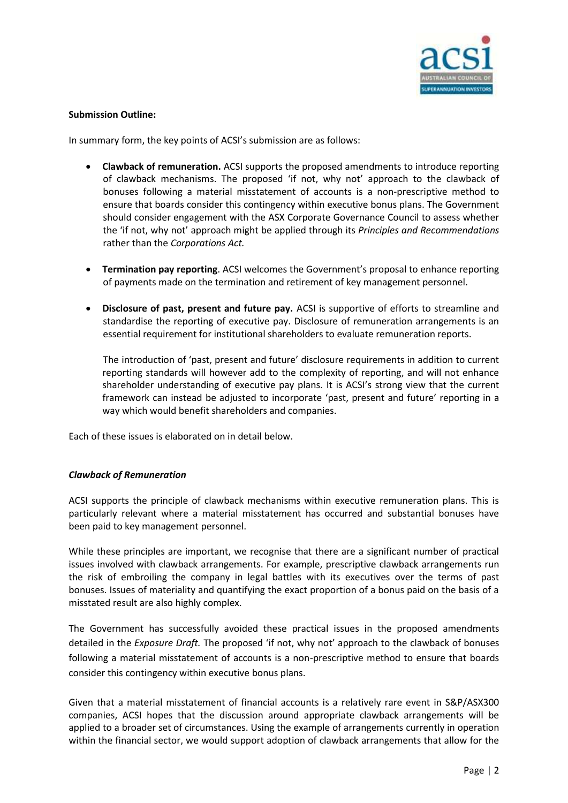

# **Submission Outline:**

In summary form, the key points of ACSI's submission are as follows:

- **Clawback of remuneration.** ACSI supports the proposed amendments to introduce reporting of clawback mechanisms. The proposed 'if not, why not' approach to the clawback of bonuses following a material misstatement of accounts is a non-prescriptive method to ensure that boards consider this contingency within executive bonus plans. The Government should consider engagement with the ASX Corporate Governance Council to assess whether the 'if not, why not' approach might be applied through its *Principles and Recommendations* rather than the *Corporations Act.*
- **Termination pay reporting**. ACSI welcomes the Government's proposal to enhance reporting of payments made on the termination and retirement of key management personnel.
- **Disclosure of past, present and future pay.** ACSI is supportive of efforts to streamline and standardise the reporting of executive pay. Disclosure of remuneration arrangements is an essential requirement for institutional shareholders to evaluate remuneration reports.

The introduction of 'past, present and future' disclosure requirements in addition to current reporting standards will however add to the complexity of reporting, and will not enhance shareholder understanding of executive pay plans. It is ACSI's strong view that the current framework can instead be adjusted to incorporate 'past, present and future' reporting in a way which would benefit shareholders and companies.

Each of these issues is elaborated on in detail below.

# *Clawback of Remuneration*

ACSI supports the principle of clawback mechanisms within executive remuneration plans. This is particularly relevant where a material misstatement has occurred and substantial bonuses have been paid to key management personnel.

While these principles are important, we recognise that there are a significant number of practical issues involved with clawback arrangements. For example, prescriptive clawback arrangements run the risk of embroiling the company in legal battles with its executives over the terms of past bonuses. Issues of materiality and quantifying the exact proportion of a bonus paid on the basis of a misstated result are also highly complex.

The Government has successfully avoided these practical issues in the proposed amendments detailed in the *Exposure Draft.* The proposed 'if not, why not' approach to the clawback of bonuses following a material misstatement of accounts is a non-prescriptive method to ensure that boards consider this contingency within executive bonus plans.

Given that a material misstatement of financial accounts is a relatively rare event in S&P/ASX300 companies, ACSI hopes that the discussion around appropriate clawback arrangements will be applied to a broader set of circumstances. Using the example of arrangements currently in operation within the financial sector, we would support adoption of clawback arrangements that allow for the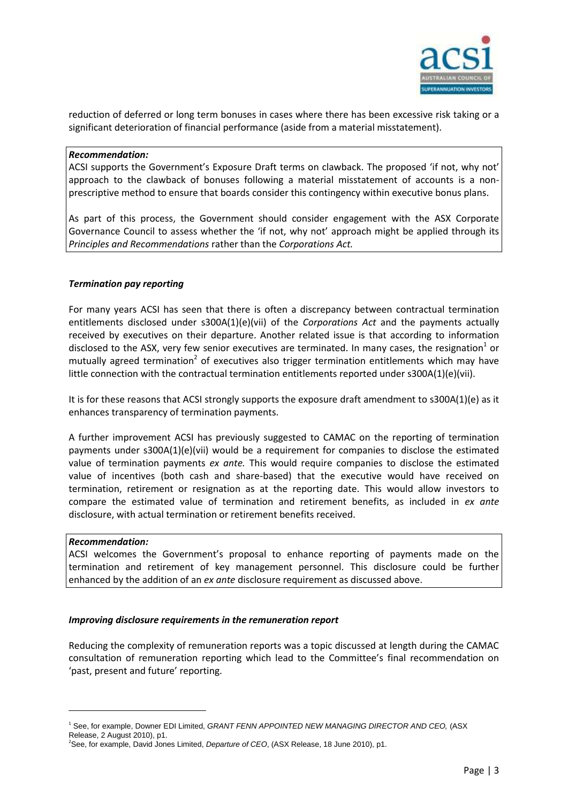

reduction of deferred or long term bonuses in cases where there has been excessive risk taking or a significant deterioration of financial performance (aside from a material misstatement).

## *Recommendation:*

ACSI supports the Government's Exposure Draft terms on clawback. The proposed 'if not, why not' approach to the clawback of bonuses following a material misstatement of accounts is a nonprescriptive method to ensure that boards consider this contingency within executive bonus plans.

As part of this process, the Government should consider engagement with the ASX Corporate Governance Council to assess whether the 'if not, why not' approach might be applied through its *Principles and Recommendations* rather than the *Corporations Act.*

## *Termination pay reporting*

For many years ACSI has seen that there is often a discrepancy between contractual termination entitlements disclosed under s300A(1)(e)(vii) of the *Corporations Act* and the payments actually received by executives on their departure. Another related issue is that according to information disclosed to the ASX, very few senior executives are terminated. In many cases, the resignation<sup>1</sup> or mutually agreed termination<sup>2</sup> of executives also trigger termination entitlements which may have little connection with the contractual termination entitlements reported under s300A(1)(e)(vii).

It is for these reasons that ACSI strongly supports the exposure draft amendment to s300A(1)(e) as it enhances transparency of termination payments.

A further improvement ACSI has previously suggested to CAMAC on the reporting of termination payments under s300A(1)(e)(vii) would be a requirement for companies to disclose the estimated value of termination payments *ex ante.* This would require companies to disclose the estimated value of incentives (both cash and share-based) that the executive would have received on termination, retirement or resignation as at the reporting date. This would allow investors to compare the estimated value of termination and retirement benefits, as included in *ex ante*  disclosure, with actual termination or retirement benefits received.

#### *Recommendation:*

-

ACSI welcomes the Government's proposal to enhance reporting of payments made on the termination and retirement of key management personnel. This disclosure could be further enhanced by the addition of an *ex ante* disclosure requirement as discussed above.

#### *Improving disclosure requirements in the remuneration report*

Reducing the complexity of remuneration reports was a topic discussed at length during the CAMAC consultation of remuneration reporting which lead to the Committee's final recommendation on 'past, present and future' reporting.

<sup>1</sup> See, for example, Downer EDI Limited, *GRANT FENN APPOINTED NEW MANAGING DIRECTOR AND CEO,* (ASX Release, 2 August 2010), p1.

<sup>&</sup>lt;sup>2</sup>See, for example, David Jones Limited, *Departure of CEO*, (ASX Release, 18 June 2010), p1.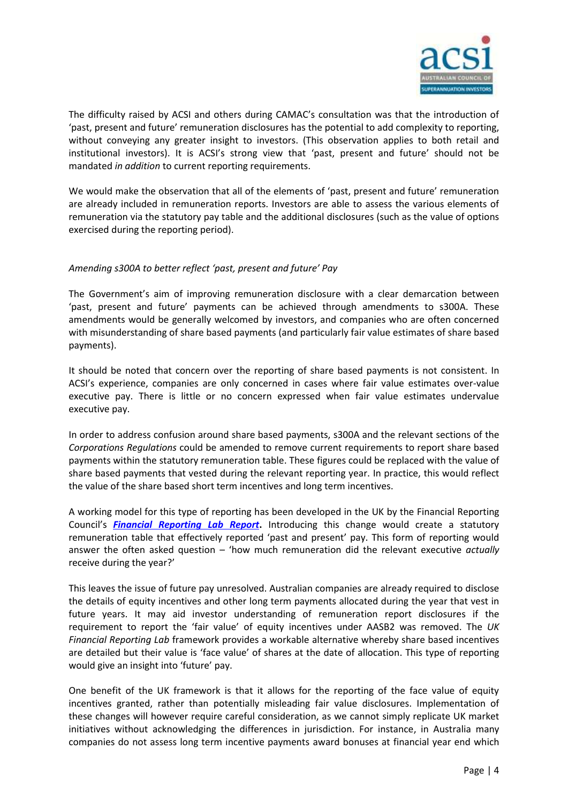

The difficulty raised by ACSI and others during CAMAC's consultation was that the introduction of 'past, present and future' remuneration disclosures has the potential to add complexity to reporting, without conveying any greater insight to investors. (This observation applies to both retail and institutional investors). It is ACSI's strong view that 'past, present and future' should not be mandated *in addition* to current reporting requirements.

We would make the observation that all of the elements of 'past, present and future' remuneration are already included in remuneration reports. Investors are able to assess the various elements of remuneration via the statutory pay table and the additional disclosures (such as the value of options exercised during the reporting period).

# *Amending s300A to better reflect 'past, present and future' Pay*

The Government's aim of improving remuneration disclosure with a clear demarcation between 'past, present and future' payments can be achieved through amendments to s300A. These amendments would be generally welcomed by investors, and companies who are often concerned with misunderstanding of share based payments (and particularly fair value estimates of share based payments).

It should be noted that concern over the reporting of share based payments is not consistent. In ACSI's experience, companies are only concerned in cases where fair value estimates over-value executive pay. There is little or no concern expressed when fair value estimates undervalue executive pay.

In order to address confusion around share based payments, s300A and the relevant sections of the *Corporations Regulations* could be amended to remove current requirements to report share based payments within the statutory remuneration table. These figures could be replaced with the value of share based payments that vested during the relevant reporting year. In practice, this would reflect the value of the share based short term incentives and long term incentives.

A working model for this type of reporting has been developed in the UK by the Financial Reporting Council's *[Financial Reporting Lab](http://frc.org.uk/Our-Work/Publications/Financial-Reporting-Lab/Lab-project-report-Reporting-of-pay-and-performanc.aspx) Report***.** Introducing this change would create a statutory remuneration table that effectively reported 'past and present' pay. This form of reporting would answer the often asked question – 'how much remuneration did the relevant executive *actually* receive during the year?'

This leaves the issue of future pay unresolved. Australian companies are already required to disclose the details of equity incentives and other long term payments allocated during the year that vest in future years. It may aid investor understanding of remuneration report disclosures if the requirement to report the 'fair value' of equity incentives under AASB2 was removed. The *UK Financial Reporting Lab* framework provides a workable alternative whereby share based incentives are detailed but their value is 'face value' of shares at the date of allocation. This type of reporting would give an insight into 'future' pay.

One benefit of the UK framework is that it allows for the reporting of the face value of equity incentives granted, rather than potentially misleading fair value disclosures. Implementation of these changes will however require careful consideration, as we cannot simply replicate UK market initiatives without acknowledging the differences in jurisdiction. For instance, in Australia many companies do not assess long term incentive payments award bonuses at financial year end which